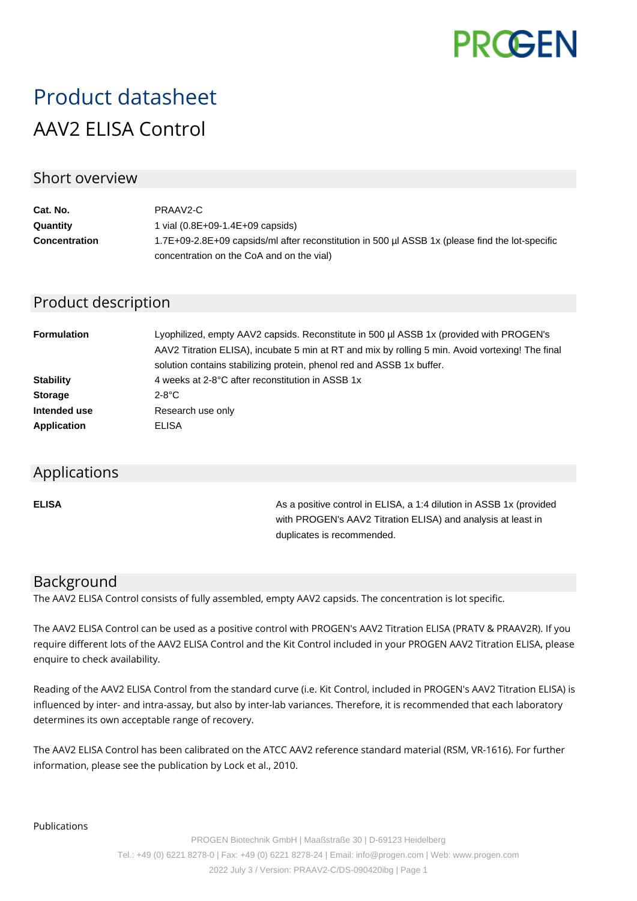

# Product datasheet AAV2 ELISA Control

## Short overview

| Cat. No.             | PRAAV2-C                                                                                        |
|----------------------|-------------------------------------------------------------------------------------------------|
| Quantity             | 1 vial $(0.8E+09-1.4E+09$ capsids)                                                              |
| <b>Concentration</b> | 1.7E+09-2.8E+09 capsids/ml after reconstitution in 500 ul ASSB 1x (please find the lot-specific |
|                      | concentration on the CoA and on the vial)                                                       |

## Product description

| <b>Formulation</b> | Lyophilized, empty AAV2 capsids. Reconstitute in 500 µl ASSB 1x (provided with PROGEN's<br>AAV2 Titration ELISA), incubate 5 min at RT and mix by rolling 5 min. Avoid vortexing! The final<br>solution contains stabilizing protein, phenol red and ASSB 1x buffer. |  |  |
|--------------------|----------------------------------------------------------------------------------------------------------------------------------------------------------------------------------------------------------------------------------------------------------------------|--|--|
| <b>Stability</b>   | 4 weeks at 2-8°C after reconstitution in ASSB 1x                                                                                                                                                                                                                     |  |  |
| <b>Storage</b>     | $2-8$ °C                                                                                                                                                                                                                                                             |  |  |
| Intended use       | Research use only                                                                                                                                                                                                                                                    |  |  |
| <b>Application</b> | ELISA                                                                                                                                                                                                                                                                |  |  |

#### Applications

**ELISA As a positive control in ELISA, a 1:4 dilution in ASSB 1x (provided Assets** 1:4 dilution in ASSB 1x (provided with PROGEN's AAV2 Titration ELISA) and analysis at least in duplicates is recommended.

## Background

The AAV2 ELISA Control consists of fully assembled, empty AAV2 capsids. The concentration is lot specific.

The AAV2 ELISA Control can be used as a positive control with PROGEN's AAV2 Titration ELISA (PRATV & PRAAV2R). If you require different lots of the AAV2 ELISA Control and the Kit Control included in your PROGEN AAV2 Titration ELISA, please enquire to check availability.

Reading of the AAV2 ELISA Control from the standard curve (i.e. Kit Control, included in PROGEN's AAV2 Titration ELISA) is influenced by inter- and intra-assay, but also by inter-lab variances. Therefore, it is recommended that each laboratory determines its own acceptable range of recovery.

The AAV2 ELISA Control has been calibrated on the ATCC AAV2 reference standard material (RSM, VR-1616). For further information, please see the publication by Lock et al., 2010.

Publications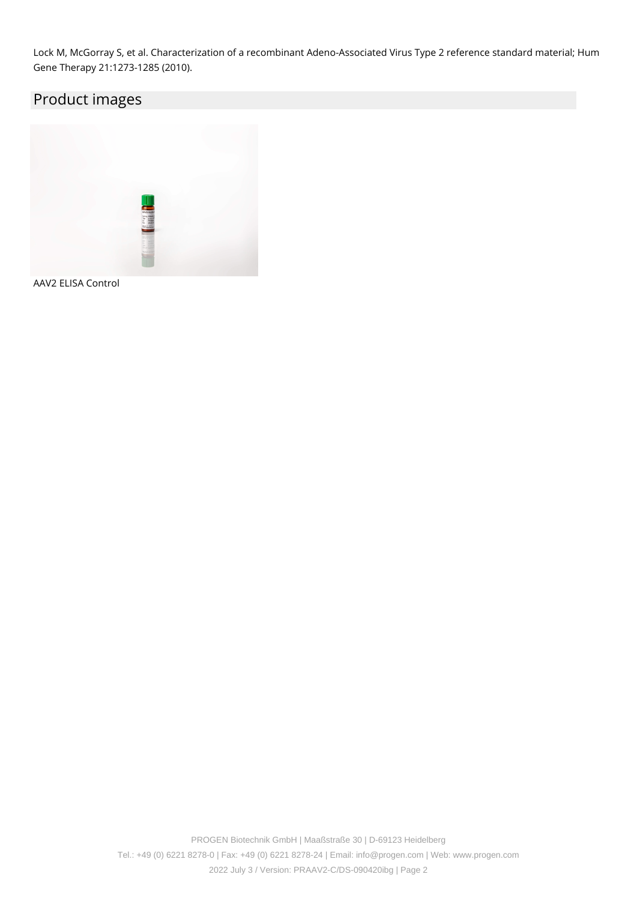Lock M, McGorray S, et al. Characterization of a recombinant Adeno-Associated Virus Type 2 reference standard material; Hum Gene Therapy 21:1273-1285 (2010).

## Product images



AAV2 ELISA Control